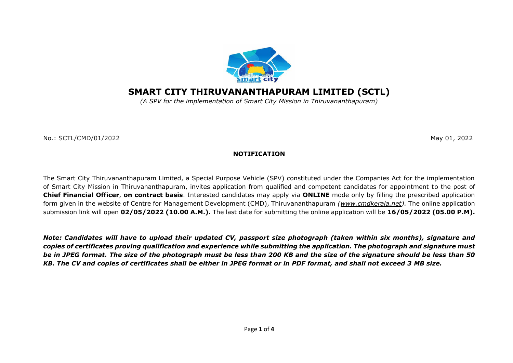

# **SMART CITY THIRUVANANTHAPURAM LIMITED (SCTL)**

*(A SPV for the implementation of Smart City Mission in Thiruvananthapuram)*

No.: SCTL/CMD/01/2022May 01, 2022

### **NOTIFICATION**

The Smart City Thiruvananthapuram Limited, a Special Purpose Vehicle (SPV) constituted under the Companies Act for the implementation of Smart City Mission in Thiruvananthapuram, invites application from qualified and competent candidates for appointment to the post of **Chief Financial Officer**, **on contract basis**. Interested candidates may apply via **ONLINE** mode only by filling the prescribed application form given in the website of Centre for Management Development (CMD), Thiruvananthapuram *[\(www.cmdkerala.net\)](http://www.cmdkerala.net/).* The online application submission link will open **02/05/2022 (10.00 A.M.).** The last date for submitting the online application will be **16/05/2022 (05.00 P.M).** 

*Note: Candidates will have to upload their updated CV, passport size photograph (taken within six months), signature and copies of certificates proving qualification and experience while submitting the application. The photograph and signature must be in JPEG format. The size of the photograph must be less than 200 KB and the size of the signature should be less than 50 KB. The CV and copies of certificates shall be either in JPEG format or in PDF format, and shall not exceed 3 MB size.*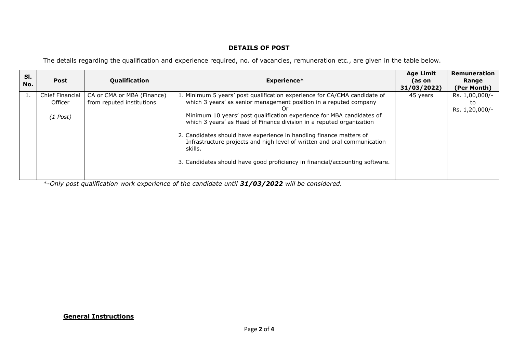## **DETAILS OF POST**

The details regarding the qualification and experience required, no. of vacancies, remuneration etc., are given in the table below.

| SI.<br>No. | Post                                            | <b>Qualification</b>                                    | <b>Experience*</b>                                                                                                                                                                                                                                                                                                                                                                                                                                                                                                                                  | <b>Age Limit</b><br>(as on<br>31/03/2022) | <b>Remuneration</b><br>Range<br>(Per Month) |
|------------|-------------------------------------------------|---------------------------------------------------------|-----------------------------------------------------------------------------------------------------------------------------------------------------------------------------------------------------------------------------------------------------------------------------------------------------------------------------------------------------------------------------------------------------------------------------------------------------------------------------------------------------------------------------------------------------|-------------------------------------------|---------------------------------------------|
| 1          | <b>Chief Financial</b><br>Officer<br>$(1$ Post) | CA or CMA or MBA (Finance)<br>from reputed institutions | 1. Minimum 5 years' post qualification experience for CA/CMA candidate of<br>which 3 years' as senior management position in a reputed company<br>Or<br>Minimum 10 years' post qualification experience for MBA candidates of<br>which 3 years' as Head of Finance division in a reputed organization<br>2. Candidates should have experience in handling finance matters of<br>Infrastructure projects and high level of written and oral communication<br>skills.<br>3. Candidates should have good proficiency in financial/accounting software. | 45 years                                  | Rs. 1,00,000/-<br>to<br>Rs. 1,20,000/-      |

\*-*Only post qualification work experience of the candidate until 31/03/2022 will be considered.* 

### **General Instructions**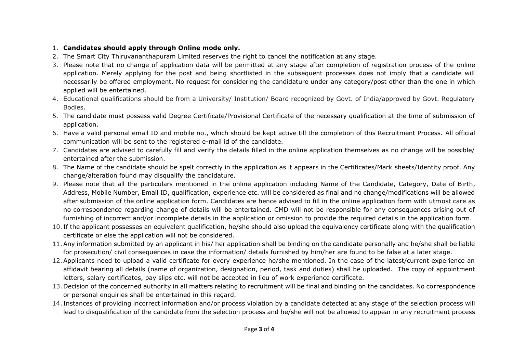## 1. **Candidates should apply through Online mode only.**

- 2. The Smart City Thiruvananthapuram Limited reserves the right to cancel the notification at any stage.
- 3. Please note that no change of application data will be permitted at any stage after completion of registration process of the online application. Merely applying for the post and being shortlisted in the subsequent processes does not imply that a candidate will necessarily be offered employment. No request for considering the candidature under any category/post other than the one in which applied will be entertained.
- 4. Educational qualifications should be from a University/ Institution/ Board recognized by Govt. of India/approved by Govt. Regulatory Bodies.
- 5. The candidate must possess valid Degree Certificate/Provisional Certificate of the necessary qualification at the time of submission of application.
- 6. Have a valid personal email ID and mobile no., which should be kept active till the completion of this Recruitment Process. All official communication will be sent to the registered e-mail id of the candidate.
- 7. Candidates are advised to carefully fill and verify the details filled in the online application themselves as no change will be possible/ entertained after the submission.
- 8. The Name of the candidate should be spelt correctly in the application as it appears in the Certificates/Mark sheets/Identity proof. Any change/alteration found may disqualify the candidature.
- 9. Please note that all the particulars mentioned in the online application including Name of the Candidate, Category, Date of Birth, Address, Mobile Number, Email ID, qualification, experience etc. will be considered as final and no change/modifications will be allowed after submission of the online application form. Candidates are hence advised to fill in the online application form with utmost care as no correspondence regarding change of details will be entertained. CMD will not be responsible for any consequences arising out of furnishing of incorrect and/or incomplete details in the application or omission to provide the required details in the application form.
- 10. If the applicant possesses an equivalent qualification, he/she should also upload the equivalency certificate along with the qualification certificate or else the application will not be considered.
- 11.Any information submitted by an applicant in his/ her application shall be binding on the candidate personally and he/she shall be liable for prosecution/ civil consequences in case the information/ details furnished by him/her are found to be false at a later stage.
- 12.Applicants need to upload a valid certificate for every experience he/she mentioned. In the case of the latest/current experience an affidavit bearing all details (name of organization, designation, period, task and duties) shall be uploaded. The copy of appointment letters, salary certificates, pay slips etc. will not be accepted in lieu of work experience certificate.
- 13. Decision of the concerned authority in all matters relating to recruitment will be final and binding on the candidates. No correspondence or personal enquiries shall be entertained in this regard.
- 14. Instances of providing incorrect information and/or process violation by a candidate detected at any stage of the selection process will lead to disqualification of the candidate from the selection process and he/she will not be allowed to appear in any recruitment process